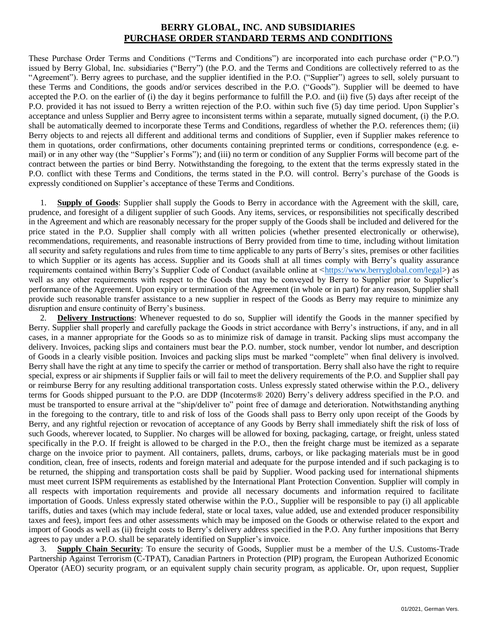## **BERRY GLOBAL, INC. AND SUBSIDIARIES PURCHASE ORDER STANDARD TERMS AND CONDITIONS**

These Purchase Order Terms and Conditions ("Terms and Conditions") are incorporated into each purchase order ("P.O.") issued by Berry Global, Inc. subsidiaries ("Berry") (the P.O. and the Terms and Conditions are collectively referred to as the "Agreement"). Berry agrees to purchase, and the supplier identified in the P.O. ("Supplier") agrees to sell, solely pursuant to these Terms and Conditions, the goods and/or services described in the P.O. ("Goods"). Supplier will be deemed to have accepted the P.O. on the earlier of (i) the day it begins performance to fulfill the P.O. and (ii) five (5) days after receipt of the P.O. provided it has not issued to Berry a written rejection of the P.O. within such five (5) day time period. Upon Supplier's acceptance and unless Supplier and Berry agree to inconsistent terms within a separate, mutually signed document, (i) the P.O. shall be automatically deemed to incorporate these Terms and Conditions, regardless of whether the P.O. references them; (ii) Berry objects to and rejects all different and additional terms and conditions of Supplier, even if Supplier makes reference to them in quotations, order confirmations, other documents containing preprinted terms or conditions, correspondence (e.g. email) or in any other way (the "Supplier's Forms"); and (iii) no term or condition of any Supplier Forms will become part of the contract between the parties or bind Berry. Notwithstanding the foregoing, to the extent that the terms expressly stated in the P.O. conflict with these Terms and Conditions, the terms stated in the P.O. will control. Berry's purchase of the Goods is expressly conditioned on Supplier's acceptance of these Terms and Conditions.

1. **Supply of Goods**: Supplier shall supply the Goods to Berry in accordance with the Agreement with the skill, care, prudence, and foresight of a diligent supplier of such Goods. Any items, services, or responsibilities not specifically described in the Agreement and which are reasonably necessary for the proper supply of the Goods shall be included and delivered for the price stated in the P.O. Supplier shall comply with all written policies (whether presented electronically or otherwise), recommendations, requirements, and reasonable instructions of Berry provided from time to time, including without limitation all security and safety regulations and rules from time to time applicable to any parts of Berry's sites, premises or other facilities to which Supplier or its agents has access. Supplier and its Goods shall at all times comply with Berry's quality assurance requirements contained within Berry's Supplier Code of Conduct (available online at [<https://www.berryglobal.com/legal>](https://www.berryglobal.com/legal)) as well as any other requirements with respect to the Goods that may be conveyed by Berry to Supplier prior to Supplier's performance of the Agreement. Upon expiry or termination of the Agreement (in whole or in part) for any reason, Supplier shall provide such reasonable transfer assistance to a new supplier in respect of the Goods as Berry may require to minimize any disruption and ensure continuity of Berry's business.

2. **Delivery Instructions**: Whenever requested to do so, Supplier will identify the Goods in the manner specified by Berry. Supplier shall properly and carefully package the Goods in strict accordance with Berry's instructions, if any, and in all cases, in a manner appropriate for the Goods so as to minimize risk of damage in transit. Packing slips must accompany the delivery. Invoices, packing slips and containers must bear the P.O. number, stock number, vendor lot number, and description of Goods in a clearly visible position. Invoices and packing slips must be marked "complete" when final delivery is involved. Berry shall have the right at any time to specify the carrier or method of transportation. Berry shall also have the right to require special, express or air shipments if Supplier fails or will fail to meet the delivery requirements of the P.O. and Supplier shall pay or reimburse Berry for any resulting additional transportation costs. Unless expressly stated otherwise within the P.O., delivery terms for Goods shipped pursuant to the P.O. are DDP (Incoterms® 2020) Berry's delivery address specified in the P.O. and must be transported to ensure arrival at the "ship/deliver to" point free of damage and deterioration. Notwithstanding anything in the foregoing to the contrary, title to and risk of loss of the Goods shall pass to Berry only upon receipt of the Goods by Berry, and any rightful rejection or revocation of acceptance of any Goods by Berry shall immediately shift the risk of loss of such Goods, wherever located, to Supplier. No charges will be allowed for boxing, packaging, cartage, or freight, unless stated specifically in the P.O. If freight is allowed to be charged in the P.O., then the freight charge must be itemized as a separate charge on the invoice prior to payment. All containers, pallets, drums, carboys, or like packaging materials must be in good condition, clean, free of insects, rodents and foreign material and adequate for the purpose intended and if such packaging is to be returned, the shipping and transportation costs shall be paid by Supplier. Wood packing used for international shipments must meet current ISPM requirements as established by the International Plant Protection Convention. Supplier will comply in all respects with importation requirements and provide all necessary documents and information required to facilitate importation of Goods. Unless expressly stated otherwise within the P.O., Supplier will be responsible to pay (i) all applicable tariffs, duties and taxes (which may include federal, state or local taxes, value added, use and extended producer responsibility taxes and fees), import fees and other assessments which may be imposed on the Goods or otherwise related to the export and import of Goods as well as (ii) freight costs to Berry's delivery address specified in the P.O. Any further impositions that Berry agrees to pay under a P.O. shall be separately identified on Supplier's invoice.

3. **Supply Chain Security**: To ensure the security of Goods, Supplier must be a member of the U.S. Customs-Trade Partnership Against Terrorism (C-TPAT), Canadian Partners in Protection (PIP) program, the European Authorized Economic Operator (AEO) security program, or an equivalent supply chain security program, as applicable. Or, upon request, Supplier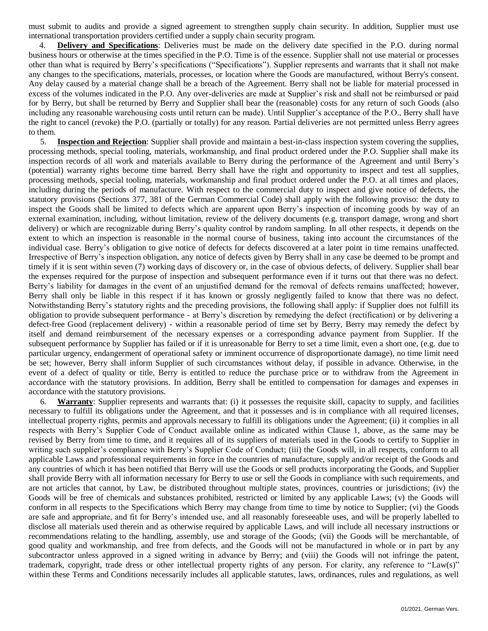must submit to audits and provide a signed agreement to strengthen supply chain security. In addition, Supplier must use international transportation providers certified under a supply chain security program.

4. **Delivery and Specifications**: Deliveries must be made on the delivery date specified in the P.O. during normal business hours or otherwise at the times specified in the P.O. Time is of the essence. Supplier shall not use material or processes other than what is required by Berry's specifications ("Specifications"). Supplier represents and warrants that it shall not make any changes to the specifications, materials, processes, or location where the Goods are manufactured, without Berry's consent. Any delay caused by a material change shall be a breach of the Agreement. Berry shall not be liable for material processed in excess of the volumes indicated in the P.O. Any over-deliveries are made at Supplier's risk and shall not be reimbursed or paid for by Berry, but shall be returned by Berry and Supplier shall bear the (reasonable) costs for any return of such Goods (also including any reasonable warehousing costs until return can be made). Until Supplier's acceptance of the P.O., Berry shall have the right to cancel (revoke) the P.O. (partially or totally) for any reason. Partial deliveries are not permitted unless Berry agrees to them.

5. **Inspection and Rejection**: Supplier shall provide and maintain a best-in-class inspection system covering the supplies, processing methods, special tooling, materials, workmanship, and final product ordered under the P.O. Supplier shall make its inspection records of all work and materials available to Berry during the performance of the Agreement and until Berry's (potential) warranty rights become time barred. Berry shall have the right and opportunity to inspect and test all supplies, processing methods, special tooling, materials, workmanship and final product ordered under the P.O. at all times and places, including during the periods of manufacture. With respect to the commercial duty to inspect and give notice of defects, the statutory provisions (Sections 377, 381 of the German Commercial Code) shall apply with the following proviso: the duty to inspect the Goods shall be limited to defects which are apparent upon Berry's inspection of incoming goods by way of an external examination, including, without limitation, review of the delivery documents (e.g. transport damage, wrong and short delivery) or which are recognizable during Berry's quality control by random sampling. In all other respects, it depends on the extent to which an inspection is reasonable in the normal course of business, taking into account the circumstances of the individual case. Berry's obligation to give notice of defects for defects discovered at a later point in time remains unaffected. Irrespective of Berry's inspection obligation, any notice of defects given by Berry shall in any case be deemed to be prompt and timely if it is sent within seven (7) working days of discovery or, in the case of obvious defects, of delivery. Supplier shall bear the expenses required for the purpose of inspection and subsequent performance even if it turns out that there was no defect. Berry's liability for damages in the event of an unjustified demand for the removal of defects remains unaffected; however, Berry shall only be liable in this respect if it has known or grossly negligently failed to know that there was no defect. Notwithstanding Berry's statutory rights and the preceding provisions, the following shall apply: if Supplier does not fulfill its obligation to provide subsequent performance - at Berry's discretion by remedying the defect (rectification) or by delivering a defect-free Good (replacement delivery) - within a reasonable period of time set by Berry, Berry may remedy the defect by itself and demand reimbursement of the necessary expenses or a corresponding advance payment from Supplier. If the subsequent performance by Supplier has failed or if it is unreasonable for Berry to set a time limit, even a short one, (e.g. due to particular urgency, endangerment of operational safety or imminent occurrence of disproportionate damage), no time limit need be set; however, Berry shall inform Supplier of such circumstances without delay, if possible in advance. Otherwise, in the event of a defect of quality or title, Berry is entitled to reduce the purchase price or to withdraw from the Agreement in accordance with the statutory provisions. In addition, Berry shall be entitled to compensation for damages and expenses in accordance with the statutory provisions.

6. **Warranty**: Supplier represents and warrants that: (i) it possesses the requisite skill, capacity to supply, and facilities necessary to fulfill its obligations under the Agreement, and that it possesses and is in compliance with all required licenses, intellectual property rights, permits and approvals necessary to fulfill its obligations under the Agreement; (ii) it complies in all respects with Berry's Supplier Code of Conduct available online as indicated within Clause 1, above, as the same may be revised by Berry from time to time, and it requires all of its suppliers of materials used in the Goods to certify to Supplier in writing such supplier's compliance with Berry's Supplier Code of Conduct; (iii) the Goods will, in all respects, conform to all applicable Laws and professional requirements in force in the countries of manufacture, supply and/or receipt of the Goods and any countries of which it has been notified that Berry will use the Goods or sell products incorporating the Goods, and Supplier shall provide Berry with all information necessary for Berry to use or sell the Goods in compliance with such requirements, and are not articles that cannot, by Law, be distributed throughout multiple states, provinces, countries or jurisdictions; (iv) the Goods will be free of chemicals and substances prohibited, restricted or limited by any applicable Laws; (v) the Goods will conform in all respects to the Specifications which Berry may change from time to time by notice to Supplier; (vi) the Goods are safe and appropriate, and fit for Berry's intended use, and all reasonably foreseeable uses, and will be properly labelled to disclose all materials used therein and as otherwise required by applicable Laws, and will include all necessary instructions or recommendations relating to the handling, assembly, use and storage of the Goods; (vii) the Goods will be merchantable, of good quality and workmanship, and free from defects, and the Goods will not be manufactured in whole or in part by any subcontractor unless approved in a signed writing in advance by Berry; and (viii) the Goods will not infringe the patent, trademark, copyright, trade dress or other intellectual property rights of any person. For clarity, any reference to "Law(s)" within these Terms and Conditions necessarily includes all applicable statutes, laws, ordinances, rules and regulations, as well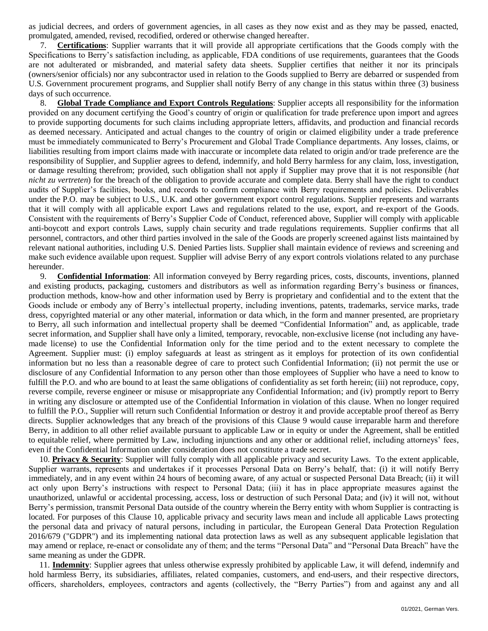as judicial decrees, and orders of government agencies, in all cases as they now exist and as they may be passed, enacted, promulgated, amended, revised, recodified, ordered or otherwise changed hereafter.

7. **Certifications**: Supplier warrants that it will provide all appropriate certifications that the Goods comply with the Specifications to Berry's satisfaction including, as applicable, FDA conditions of use requirements, guarantees that the Goods are not adulterated or misbranded, and material safety data sheets. Supplier certifies that neither it nor its principals (owners/senior officials) nor any subcontractor used in relation to the Goods supplied to Berry are debarred or suspended from U.S. Government procurement programs, and Supplier shall notify Berry of any change in this status within three (3) business days of such occurrence.

8. **Global Trade Compliance and Export Controls Regulations**: Supplier accepts all responsibility for the information provided on any document certifying the Good's country of origin or qualification for trade preference upon import and agrees to provide supporting documents for such claims including appropriate letters, affidavits, and production and financial records as deemed necessary. Anticipated and actual changes to the country of origin or claimed eligibility under a trade preference must be immediately communicated to Berry's Procurement and Global Trade Compliance departments. Any losses, claims, or liabilities resulting from import claims made with inaccurate or incomplete data related to origin and/or trade preference are the responsibility of Supplier, and Supplier agrees to defend, indemnify, and hold Berry harmless for any claim, loss, investigation, or damage resulting therefrom; provided, such obligation shall not apply if Supplier may prove that it is not responsible (*hat nicht zu vertreten*) for the breach of the obligation to provide accurate and complete data. Berry shall have the right to conduct audits of Supplier's facilities, books, and records to confirm compliance with Berry requirements and policies. Deliverables under the P.O. may be subject to U.S., U.K. and other government export control regulations. Supplier represents and warrants that it will comply with all applicable export Laws and regulations related to the use, export, and re-export of the Goods. Consistent with the requirements of Berry's Supplier Code of Conduct, referenced above, Supplier will comply with applicable anti-boycott and export controls Laws, supply chain security and trade regulations requirements. Supplier confirms that all personnel, contractors, and other third parties involved in the sale of the Goods are properly screened against lists maintained by relevant national authorities, including U.S. Denied Parties lists. Supplier shall maintain evidence of reviews and screening and make such evidence available upon request. Supplier will advise Berry of any export controls violations related to any purchase hereunder.

9. **Confidential Information**: All information conveyed by Berry regarding prices, costs, discounts, inventions, planned and existing products, packaging, customers and distributors as well as information regarding Berry's business or finances, production methods, know-how and other information used by Berry is proprietary and confidential and to the extent that the Goods include or embody any of Berry's intellectual property, including inventions, patents, trademarks, service marks, trade dress, copyrighted material or any other material, information or data which, in the form and manner presented, are proprietary to Berry, all such information and intellectual property shall be deemed "Confidential Information" and, as applicable, trade secret information, and Supplier shall have only a limited, temporary, revocable, non-exclusive license (not including any havemade license) to use the Confidential Information only for the time period and to the extent necessary to complete the Agreement. Supplier must: (i) employ safeguards at least as stringent as it employs for protection of its own confidential information but no less than a reasonable degree of care to protect such Confidential Information; (ii) not permit the use or disclosure of any Confidential Information to any person other than those employees of Supplier who have a need to know to fulfill the P.O. and who are bound to at least the same obligations of confidentiality as set forth herein; (iii) not reproduce, copy, reverse compile, reverse engineer or misuse or misappropriate any Confidential Information; and (iv) promptly report to Berry in writing any disclosure or attempted use of the Confidential Information in violation of this clause. When no longer required to fulfill the P.O., Supplier will return such Confidential Information or destroy it and provide acceptable proof thereof as Berry directs. Supplier acknowledges that any breach of the provisions of this Clause 9 would cause irreparable harm and therefore Berry, in addition to all other relief available pursuant to applicable Law or in equity or under the Agreement, shall be entitled to equitable relief, where permitted by Law, including injunctions and any other or additional relief, including attorneys' fees, even if the Confidential Information under consideration does not constitute a trade secret.

10. **Privacy & Security**: Supplier will fully comply with all applicable privacy and security Laws. To the extent applicable, Supplier warrants, represents and undertakes if it processes Personal Data on Berry's behalf, that: (i) it will notify Berry immediately, and in any event within 24 hours of becoming aware, of any actual or suspected Personal Data Breach; (ii) it will act only upon Berry's instructions with respect to Personal Data; (iii) it has in place appropriate measures against the unauthorized, unlawful or accidental processing, access, loss or destruction of such Personal Data; and (iv) it will not, without Berry's permission, transmit Personal Data outside of the country wherein the Berry entity with whom Supplier is contracting is located. For purposes of this Clause 10, applicable privacy and security laws mean and include all applicable Laws protecting the personal data and privacy of natural persons, including in particular, the European General Data Protection Regulation 2016/679 ("GDPR") and its implementing national data protection laws as well as any subsequent applicable legislation that may amend or replace, re-enact or consolidate any of them; and the terms "Personal Data" and "Personal Data Breach" have the same meaning as under the GDPR.

11. **Indemnity**: Supplier agrees that unless otherwise expressly prohibited by applicable Law, it will defend, indemnify and hold harmless Berry, its subsidiaries, affiliates, related companies, customers, and end-users, and their respective directors, officers, shareholders, employees, contractors and agents (collectively, the "Berry Parties") from and against any and all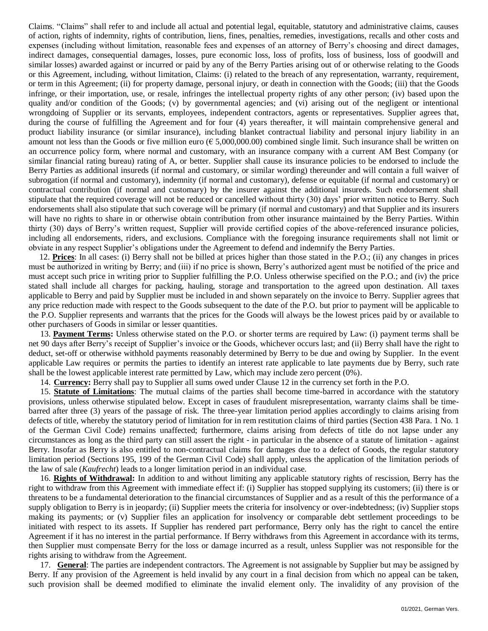Claims. "Claims" shall refer to and include all actual and potential legal, equitable, statutory and administrative claims, causes of action, rights of indemnity, rights of contribution, liens, fines, penalties, remedies, investigations, recalls and other costs and expenses (including without limitation, reasonable fees and expenses of an attorney of Berry's choosing and direct damages, indirect damages, consequential damages, losses, pure economic loss, loss of profits, loss of business, loss of goodwill and similar losses) awarded against or incurred or paid by any of the Berry Parties arising out of or otherwise relating to the Goods or this Agreement, including, without limitation, Claims: (i) related to the breach of any representation, warranty, requirement, or term in this Agreement; (ii) for property damage, personal injury, or death in connection with the Goods; (iii) that the Goods infringe, or their importation, use, or resale, infringes the intellectual property rights of any other person; (iv) based upon the quality and/or condition of the Goods; (v) by governmental agencies; and (vi) arising out of the negligent or intentional wrongdoing of Supplier or its servants, employees, independent contractors, agents or representatives. Supplier agrees that, during the course of fulfilling the Agreement and for four (4) years thereafter, it will maintain comprehensive general and product liability insurance (or similar insurance), including blanket contractual liability and personal injury liability in an amount not less than the Goods or five million euro ( $\epsilon$  5,000,000.00) combined single limit. Such insurance shall be written on an occurrence policy form, where normal and customary, with an insurance company with a current AM Best Company (or similar financial rating bureau) rating of A, or better. Supplier shall cause its insurance policies to be endorsed to include the Berry Parties as additional insureds (if normal and customary, or similar wording) thereunder and will contain a full waiver of subrogation (if normal and customary), indemnity (if normal and customary), defense or equitable (if normal and customary) or contractual contribution (if normal and customary) by the insurer against the additional insureds. Such endorsement shall stipulate that the required coverage will not be reduced or cancelled without thirty (30) days' prior written notice to Berry. Such endorsements shall also stipulate that such coverage will be primary (if normal and customary) and that Supplier and its insurers will have no rights to share in or otherwise obtain contribution from other insurance maintained by the Berry Parties. Within thirty (30) days of Berry's written request, Supplier will provide certified copies of the above-referenced insurance policies, including all endorsements, riders, and exclusions. Compliance with the foregoing insurance requirements shall not limit or obviate in any respect Supplier's obligations under the Agreement to defend and indemnify the Berry Parties.

12. **Prices**: In all cases: (i) Berry shall not be billed at prices higher than those stated in the P.O.; (ii) any changes in prices must be authorized in writing by Berry; and (iii) if no price is shown, Berry's authorized agent must be notified of the price and must accept such price in writing prior to Supplier fulfilling the P.O. Unless otherwise specified on the P.O.; and (iv) the price stated shall include all charges for packing, hauling, storage and transportation to the agreed upon destination. All taxes applicable to Berry and paid by Supplier must be included in and shown separately on the invoice to Berry. Supplier agrees that any price reduction made with respect to the Goods subsequent to the date of the P.O. but prior to payment will be applicable to the P.O. Supplier represents and warrants that the prices for the Goods will always be the lowest prices paid by or available to other purchasers of Goods in similar or lesser quantities.

13. **Payment Terms:** Unless otherwise stated on the P.O. or shorter terms are required by Law: (i) payment terms shall be net 90 days after Berry's receipt of Supplier's invoice or the Goods, whichever occurs last; and (ii) Berry shall have the right to deduct, set-off or otherwise withhold payments reasonably determined by Berry to be due and owing by Supplier. In the event applicable Law requires or permits the parties to identify an interest rate applicable to late payments due by Berry, such rate shall be the lowest applicable interest rate permitted by Law, which may include zero percent (0%).

14. **Currency:** Berry shall pay to Supplier all sums owed under Clause 12 in the currency set forth in the P.O.

15. **Statute of Limitations**: The mutual claims of the parties shall become time-barred in accordance with the statutory provisions, unless otherwise stipulated below. Except in cases of fraudulent misrepresentation, warranty claims shall be timebarred after three (3) years of the passage of risk. The three-year limitation period applies accordingly to claims arising from defects of title, whereby the statutory period of limitation for in rem restitution claims of third parties (Section 438 Para. 1 No. 1 of the German Civil Code) remains unaffected; furthermore, claims arising from defects of title do not lapse under any circumstances as long as the third party can still assert the right - in particular in the absence of a statute of limitation - against Berry. Insofar as Berry is also entitled to non-contractual claims for damages due to a defect of Goods, the regular statutory limitation period (Sections 195, 199 of the German Civil Code) shall apply, unless the application of the limitation periods of the law of sale (*Kaufrecht*) leads to a longer limitation period in an individual case.

16. **Rights of Withdrawal:** In addition to and without limiting any applicable statutory rights of rescission, Berry has the right to withdraw from this Agreement with immediate effect if: (i) Supplier has stopped supplying its customers; (ii) there is or threatens to be a fundamental deterioration to the financial circumstances of Supplier and as a result of this the performance of a supply obligation to Berry is in jeopardy; (ii) Supplier meets the criteria for insolvency or over-indebtedness; (iv) Supplier stops making its payments; or (v) Supplier files an application for insolvency or comparable debt settlement proceedings to be initiated with respect to its assets. If Supplier has rendered part performance, Berry only has the right to cancel the entire Agreement if it has no interest in the partial performance. If Berry withdraws from this Agreement in accordance with its terms, then Supplier must compensate Berry for the loss or damage incurred as a result, unless Supplier was not responsible for the rights arising to withdraw from the Agreement.

17. **General**: The parties are independent contractors. The Agreement is not assignable by Supplier but may be assigned by Berry. If any provision of the Agreement is held invalid by any court in a final decision from which no appeal can be taken, such provision shall be deemed modified to eliminate the invalid element only. The invalidity of any provision of the